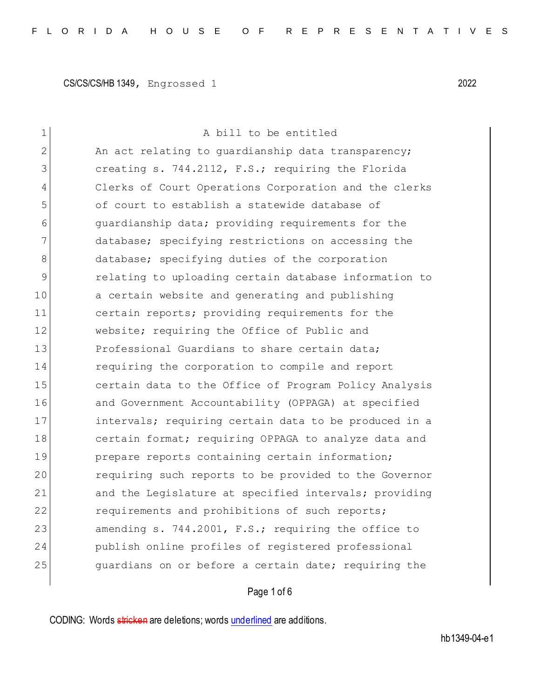| $\mathbf 1$  | A bill to be entitled                                 |
|--------------|-------------------------------------------------------|
| $\mathbf{2}$ | An act relating to quardianship data transparency;    |
| 3            | creating s. 744.2112, F.S.; requiring the Florida     |
| 4            | Clerks of Court Operations Corporation and the clerks |
| 5            | of court to establish a statewide database of         |
| 6            | quardianship data; providing requirements for the     |
| 7            | database; specifying restrictions on accessing the    |
| 8            | database; specifying duties of the corporation        |
| 9            | relating to uploading certain database information to |
| 10           | a certain website and generating and publishing       |
| 11           | certain reports; providing requirements for the       |
| 12           | website; requiring the Office of Public and           |
| 13           | Professional Guardians to share certain data;         |
| 14           | requiring the corporation to compile and report       |
| 15           | certain data to the Office of Program Policy Analysis |
| 16           | and Government Accountability (OPPAGA) at specified   |
| 17           | intervals; requiring certain data to be produced in a |
| 18           | certain format; requiring OPPAGA to analyze data and  |
| 19           | prepare reports containing certain information;       |
| 20           | requiring such reports to be provided to the Governor |
| 21           | and the Legislature at specified intervals; providing |
| 22           | requirements and prohibitions of such reports;        |
| 23           | amending s. 744.2001, F.S.; requiring the office to   |
| 24           | publish online profiles of registered professional    |
| 25           | quardians on or before a certain date; requiring the  |
|              |                                                       |

## Page 1 of 6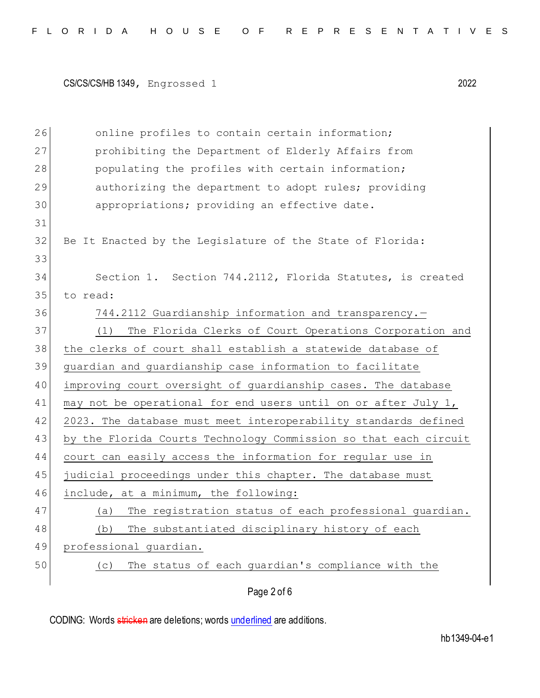| 26 | online profiles to contain certain information;                  |
|----|------------------------------------------------------------------|
| 27 | prohibiting the Department of Elderly Affairs from               |
| 28 | populating the profiles with certain information;                |
| 29 | authorizing the department to adopt rules; providing             |
| 30 | appropriations; providing an effective date.                     |
| 31 |                                                                  |
| 32 | Be It Enacted by the Legislature of the State of Florida:        |
| 33 |                                                                  |
| 34 | Section 1. Section 744.2112, Florida Statutes, is created        |
| 35 | to read:                                                         |
| 36 | 744.2112 Guardianship information and transparency.-             |
| 37 | The Florida Clerks of Court Operations Corporation and<br>(1)    |
| 38 | the clerks of court shall establish a statewide database of      |
| 39 | guardian and guardianship case information to facilitate         |
| 40 | improving court oversight of guardianship cases. The database    |
| 41 | may not be operational for end users until on or after July 1,   |
| 42 | 2023. The database must meet interoperability standards defined  |
| 43 | by the Florida Courts Technology Commission so that each circuit |
| 44 | court can easily access the information for regular use in       |
| 45 | judicial proceedings under this chapter. The database must       |
| 46 | include, at a minimum, the following:                            |
| 47 | The registration status of each professional quardian.<br>(a)    |
| 48 | The substantiated disciplinary history of each<br>(b)            |
| 49 | professional quardian.                                           |
| 50 | The status of each guardian's compliance with the<br>(C)         |
|    | Page 2 of 6                                                      |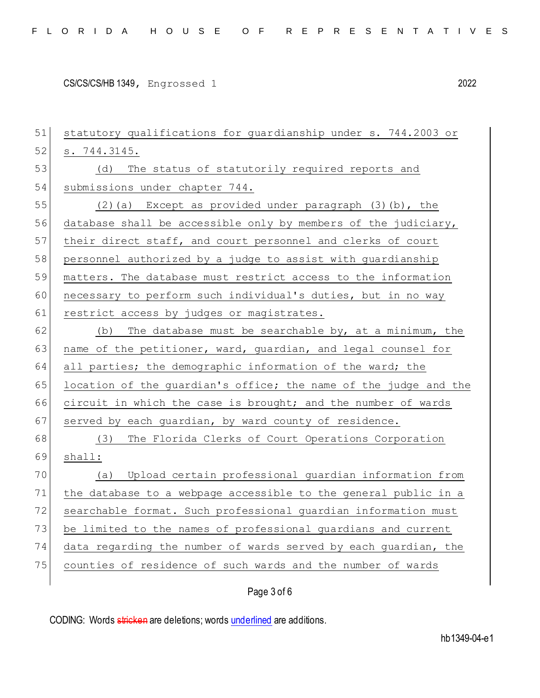| 51 | statutory qualifications for guardianship under s. 744.2003 or   |
|----|------------------------------------------------------------------|
| 52 | s. 744.3145.                                                     |
| 53 | (d)<br>The status of statutorily required reports and            |
| 54 | submissions under chapter 744.                                   |
| 55 | $(2)$ (a) Except as provided under paragraph $(3)$ (b), the      |
| 56 | database shall be accessible only by members of the judiciary,   |
| 57 | their direct staff, and court personnel and clerks of court      |
| 58 | personnel authorized by a judge to assist with guardianship      |
| 59 | matters. The database must restrict access to the information    |
| 60 | necessary to perform such individual's duties, but in no way     |
| 61 | restrict access by judges or magistrates.                        |
| 62 | The database must be searchable by, at a minimum, the<br>(b)     |
| 63 | name of the petitioner, ward, guardian, and legal counsel for    |
| 64 | all parties; the demographic information of the ward; the        |
| 65 | location of the guardian's office; the name of the judge and the |
| 66 | circuit in which the case is brought; and the number of wards    |
| 67 | served by each guardian, by ward county of residence.            |
| 68 | The Florida Clerks of Court Operations Corporation<br>(3)        |
| 69 | shall:                                                           |
| 70 | Upload certain professional guardian information from<br>(a)     |
| 71 | the database to a webpage accessible to the general public in a  |
| 72 | searchable format. Such professional guardian information must   |
| 73 | be limited to the names of professional guardians and current    |
| 74 | data regarding the number of wards served by each guardian, the  |
| 75 | counties of residence of such wards and the number of wards      |
|    | Page 3 of 6                                                      |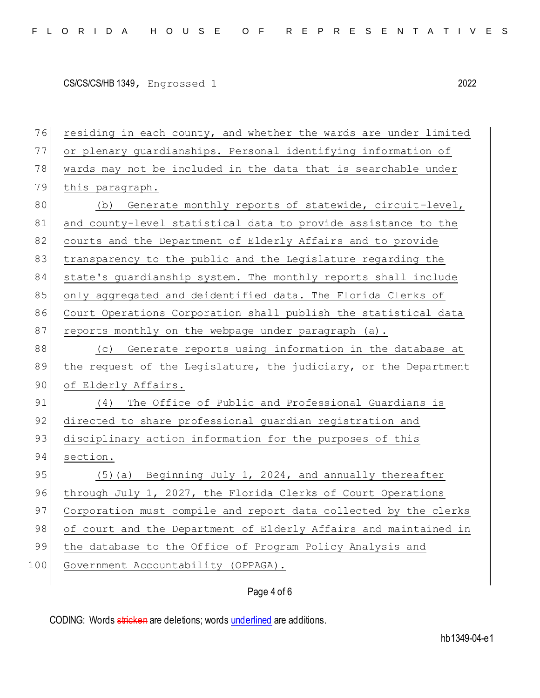76 residing in each county, and whether the wards are under limited 77 or plenary guardianships. Personal identifying information of 78 wards may not be included in the data that is searchable under 79 this paragraph. 80 (b) Generate monthly reports of statewide, circuit-level, 81 and county-level statistical data to provide assistance to the 82 courts and the Department of Elderly Affairs and to provide 83 transparency to the public and the Legislature regarding the 84 state's quardianship system. The monthly reports shall include 85 only aggregated and deidentified data. The Florida Clerks of 86 Court Operations Corporation shall publish the statistical data 87 reports monthly on the webpage under paragraph (a). 88 (c) Generate reports using information in the database at 89 the request of the Legislature, the judiciary, or the Department 90 of Elderly Affairs. 91 (4) The Office of Public and Professional Guardians is 92 directed to share professional guardian registration and 93 disciplinary action information for the purposes of this 94 section. 95 (5)(a) Beginning July 1, 2024, and annually thereafter 96 through July 1, 2027, the Florida Clerks of Court Operations 97 Corporation must compile and report data collected by the clerks 98 of court and the Department of Elderly Affairs and maintained in 99 the database to the Office of Program Policy Analysis and 100 Government Accountability (OPPAGA).

Page 4 of 6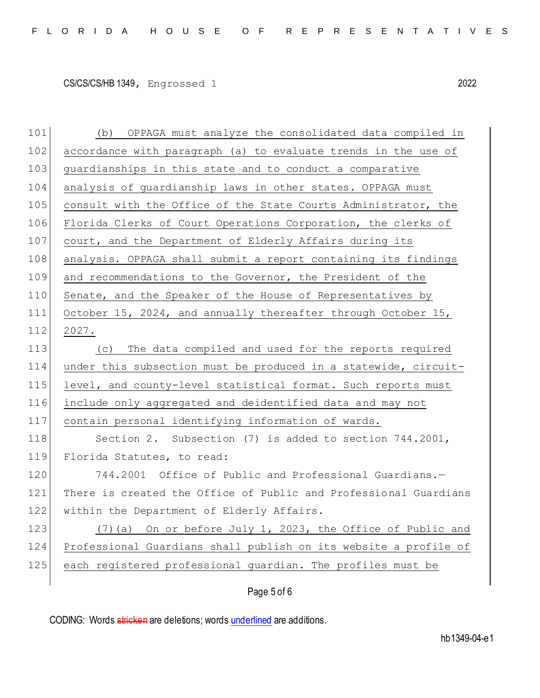101 (b) OPPAGA must analyze the consolidated data compiled in 102 accordance with paragraph (a) to evaluate trends in the use of 103 guardianships in this state and to conduct a comparative 104 analysis of guardianship laws in other states. OPPAGA must 105 consult with the Office of the State Courts Administrator, the 106 Florida Clerks of Court Operations Corporation, the clerks of 107 court, and the Department of Elderly Affairs during its 108 analysis. OPPAGA shall submit a report containing its findings 109 and recommendations to the Governor, the President of the 110 Senate, and the Speaker of the House of Representatives by 111 October 15, 2024, and annually thereafter through October 15, 112 2027. 113 (c) The data compiled and used for the reports required 114 under this subsection must be produced in a statewide, circuit-115 level, and county-level statistical format. Such reports must 116 include only aggregated and deidentified data and may not 117 contain personal identifying information of wards. 118 Section 2. Subsection (7) is added to section 744.2001, 119 Florida Statutes, to read: 120 744.2001 Office of Public and Professional Guardians.-121 There is created the Office of Public and Professional Guardians 122 within the Department of Elderly Affairs. 123 (7)(a) On or before July 1, 2023, the Office of Public and 124 Professional Guardians shall publish on its website a profile of 125 each registered professional guardian. The profiles must be

## Page 5 of 6